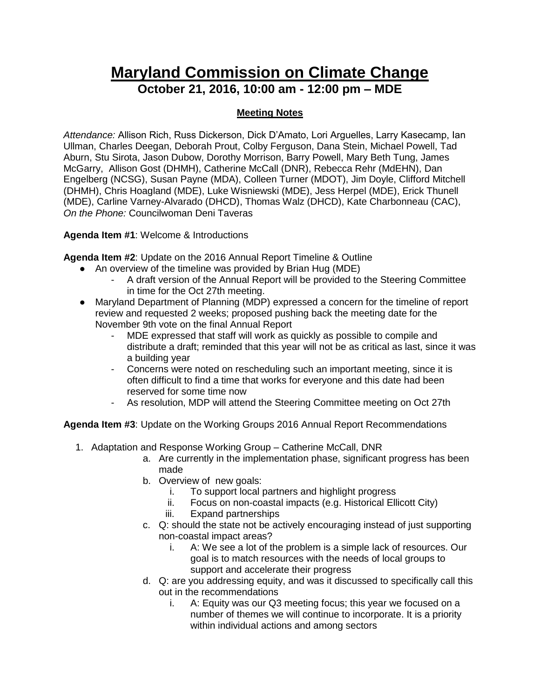## **Maryland Commission on Climate Change October 21, 2016, 10:00 am - 12:00 pm – MDE**

## **Meeting Notes**

*Attendance:* Allison Rich, Russ Dickerson, Dick D'Amato, Lori Arguelles, Larry Kasecamp, Ian Ullman, Charles Deegan, Deborah Prout, Colby Ferguson, Dana Stein, Michael Powell, Tad Aburn, Stu Sirota, Jason Dubow, Dorothy Morrison, Barry Powell, Mary Beth Tung, James McGarry, Allison Gost (DHMH), Catherine McCall (DNR), Rebecca Rehr (MdEHN), Dan Engelberg (NCSG), Susan Payne (MDA), Colleen Turner (MDOT), Jim Doyle, Clifford Mitchell (DHMH), Chris Hoagland (MDE), Luke Wisniewski (MDE), Jess Herpel (MDE), Erick Thunell (MDE), Carline Varney-Alvarado (DHCD), Thomas Walz (DHCD), Kate Charbonneau (CAC), *On the Phone:* Councilwoman Deni Taveras

**Agenda Item #1**: Welcome & Introductions

**Agenda Item #2**: Update on the 2016 Annual Report Timeline & Outline

- An overview of the timeline was provided by Brian Hug (MDE)
	- A draft version of the Annual Report will be provided to the Steering Committee in time for the Oct 27th meeting.
- Maryland Department of Planning (MDP) expressed a concern for the timeline of report review and requested 2 weeks; proposed pushing back the meeting date for the November 9th vote on the final Annual Report
	- MDE expressed that staff will work as quickly as possible to compile and distribute a draft; reminded that this year will not be as critical as last, since it was a building year
	- Concerns were noted on rescheduling such an important meeting, since it is often difficult to find a time that works for everyone and this date had been reserved for some time now
	- As resolution, MDP will attend the Steering Committee meeting on Oct 27th

**Agenda Item #3**: Update on the Working Groups 2016 Annual Report Recommendations

- 1. Adaptation and Response Working Group Catherine McCall, DNR
	- a. Are currently in the implementation phase, significant progress has been made
	- b. Overview of new goals:
		- i. To support local partners and highlight progress
		- ii. Focus on non-coastal impacts (e.g. Historical Ellicott City)
		- iii. Expand partnerships
	- c. Q: should the state not be actively encouraging instead of just supporting non-coastal impact areas?
		- i. A: We see a lot of the problem is a simple lack of resources. Our goal is to match resources with the needs of local groups to support and accelerate their progress
	- d. Q: are you addressing equity, and was it discussed to specifically call this out in the recommendations
		- i. A: Equity was our Q3 meeting focus; this year we focused on a number of themes we will continue to incorporate. It is a priority within individual actions and among sectors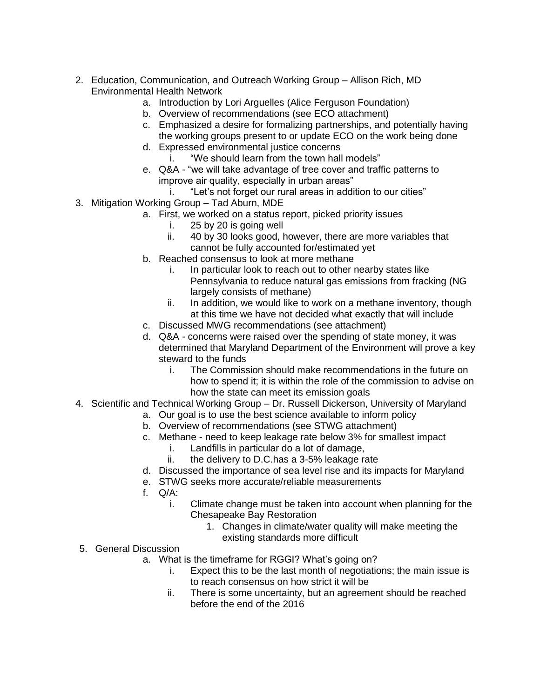- 2. Education, Communication, and Outreach Working Group Allison Rich, MD Environmental Health Network
	- a. Introduction by Lori Arguelles (Alice Ferguson Foundation)
	- b. Overview of recommendations (see ECO attachment)
	- c. Emphasized a desire for formalizing partnerships, and potentially having the working groups present to or update ECO on the work being done
	- d. Expressed environmental justice concerns
	- i. "We should learn from the town hall models" e. Q&A - "we will take advantage of tree cover and traffic patterns to improve air quality, especially in urban areas"
		- i. "Let's not forget our rural areas in addition to our cities"
- 3. Mitigation Working Group Tad Aburn, MDE
	- a. First, we worked on a status report, picked priority issues
		- i. 25 by 20 is going well
			- ii. 40 by 30 looks good, however, there are more variables that cannot be fully accounted for/estimated yet
		- b. Reached consensus to look at more methane
			- i. In particular look to reach out to other nearby states like Pennsylvania to reduce natural gas emissions from fracking (NG largely consists of methane)
			- ii. In addition, we would like to work on a methane inventory, though at this time we have not decided what exactly that will include
		- c. Discussed MWG recommendations (see attachment)
		- d. Q&A concerns were raised over the spending of state money, it was determined that Maryland Department of the Environment will prove a key steward to the funds
			- i. The Commission should make recommendations in the future on how to spend it; it is within the role of the commission to advise on how the state can meet its emission goals
- 4. Scientific and Technical Working Group Dr. Russell Dickerson, University of Maryland
	- a. Our goal is to use the best science available to inform policy
		- b. Overview of recommendations (see STWG attachment)
		- c. Methane need to keep leakage rate below 3% for smallest impact
			- i. Landfills in particular do a lot of damage,
			- ii. the delivery to D.C.has a 3-5% leakage rate
		- d. Discussed the importance of sea level rise and its impacts for Maryland
		- e. STWG seeks more accurate/reliable measurements
		- f. Q/A:
			- i. Climate change must be taken into account when planning for the Chesapeake Bay Restoration
				- 1. Changes in climate/water quality will make meeting the existing standards more difficult
- 5. General Discussion
	- a. What is the timeframe for RGGI? What's going on?
		- i. Expect this to be the last month of negotiations; the main issue is to reach consensus on how strict it will be
		- ii. There is some uncertainty, but an agreement should be reached before the end of the 2016